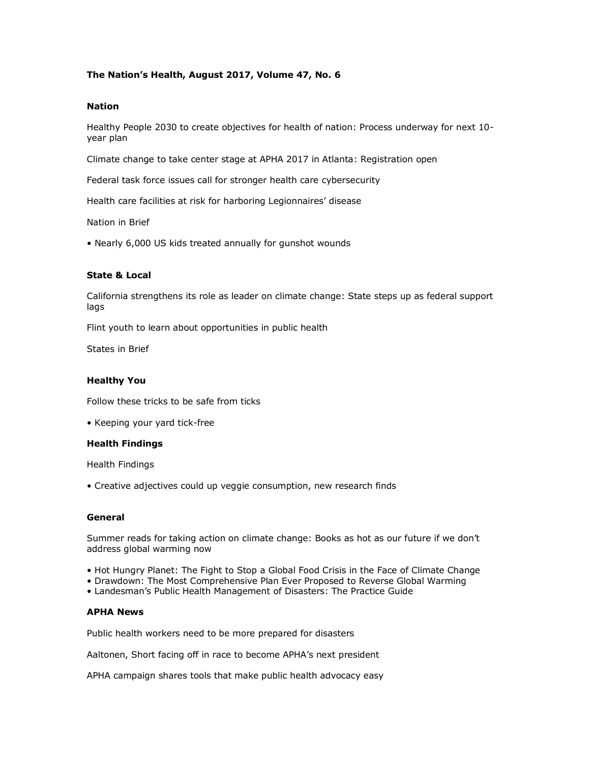# **The Nation's Health, August 2017, Volume 47, No. 6**

### **Nation**

Healthy People 2030 to create objectives for health of nation: Process underway for next 10 year plan

Climate change to take center stage at APHA 2017 in Atlanta: Registration open

Federal task force issues call for stronger health care cybersecurity

Health care facilities at risk for harboring Legionnaires' disease

Nation in Brief

• Nearly 6,000 US kids treated annually for gunshot wounds

#### **State & Local**

California strengthens its role as leader on climate change: State steps up as federal support lags

Flint youth to learn about opportunities in public health

States in Brief

### **Healthy You**

Follow these tricks to be safe from ticks

• Keeping your yard tick-free

#### **Health Findings**

Health Findings

• Creative adjectives could up veggie consumption, new research finds

#### **General**

Summer reads for taking action on climate change: Books as hot as our future if we don't address global warming now

- Hot Hungry Planet: The Fight to Stop a Global Food Crisis in the Face of Climate Change
- Drawdown: The Most Comprehensive Plan Ever Proposed to Reverse Global Warming
- Landesman's Public Health Management of Disasters: The Practice Guide

#### **APHA News**

Public health workers need to be more prepared for disasters

Aaltonen, Short facing off in race to become APHA's next president

APHA campaign shares tools that make public health advocacy easy